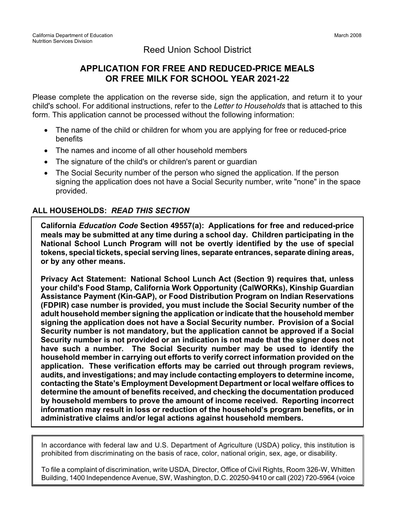## Reed Union School District

## **APPLICATION FOR FREE AND REDUCED-PRICE MEALS OR FREE MILK FOR SCHOOL YEAR 2021-22**

Please complete the application on the reverse side, sign the application, and return it to your child's school. For additional instructions, refer to the *Letter to Households* that is attached to this form. This application cannot be processed without the following information:

- The name of the child or children for whom you are applying for free or reduced-price benefits
- The names and income of all other household members
- The signature of the child's or children's parent or guardian
- The Social Security number of the person who signed the application. If the person signing the application does not have a Social Security number, write "none" in the space provided.

## **ALL HOUSEHOLDS:** *READ THIS SECTION*

**California** *Education Code* **Section 49557(a): Applications for free and reduced-price meals may be submitted at any time during a school day. Children participating in the National School Lunch Program will not be overtly identified by the use of special tokens, special tickets, special serving lines, separate entrances, separate dining areas, or by any other means.**

**Privacy Act Statement: National School Lunch Act (Section 9) requires that, unless your child's Food Stamp, California Work Opportunity (CalWORKs), Kinship Guardian Assistance Payment (Kin-GAP), or Food Distribution Program on Indian Reservations (FDPIR) case number is provided, you must include the Social Security number of the adult household member signing the application orindicate that the household member signing the application does not have a Social Security number. Provision of a Social Security number is not mandatory, but the application cannot be approved if a Social Security number is not provided or an indication is not made that the signer does not have such a number. The Social Security number may be used to identify the household member in carrying out efforts to verify correct information provided on the application. These verification efforts may be carried out through program reviews, audits, and investigations; and may include contacting employers to determine income, contacting the State's Employment Development Department or local welfare offices to determine the amount of benefits received, and checking the documentation produced by household members to prove the amount of income received. Reporting incorrect information may result in loss or reduction of the household's program benefits, or in administrative claims and/or legal actions against household members.**

In accordance with federal law and U.S. Department of Agriculture (USDA) policy, this institution is prohibited from discriminating on the basis of race, color, national origin, sex, age, or disability.

To file a complaint of discrimination, write USDA, Director, Office of Civil Rights, Room 326-W, Whitten Building, 1400 Independence Avenue, SW, Washington, D.C. 20250-9410 or call (202) 720-5964 (voice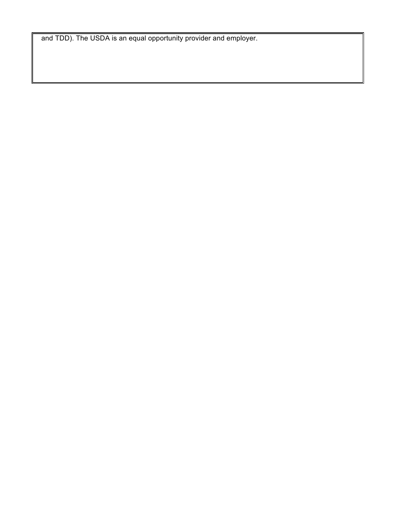and TDD). The USDA is an equal opportunity provider and employer.